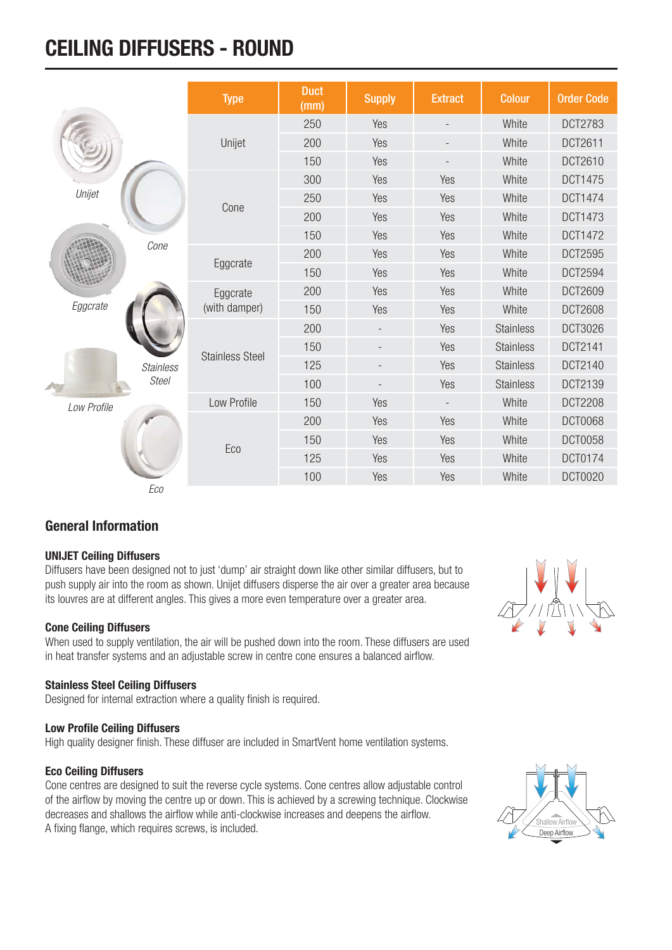## **CEILING DIFFUSERS - ROUND**

|             |                  | <b>Type</b>            | <b>Duct</b><br>(mm) | <b>Supply</b> | <b>Extract</b>           | <b>Colour</b>    | <b>Order Code</b> |
|-------------|------------------|------------------------|---------------------|---------------|--------------------------|------------------|-------------------|
|             |                  |                        | 250                 | Yes           |                          | White            | <b>DCT2783</b>    |
|             |                  | Unijet                 | 200                 | Yes           | $\overline{\phantom{a}}$ | White            | DCT2611           |
|             |                  |                        | 150                 | Yes           |                          | White            | DCT2610           |
|             |                  |                        | 300                 | Yes           | Yes                      | White            | <b>DCT1475</b>    |
| Unijet      |                  |                        | 250                 | Yes           | Yes                      | White            | <b>DCT1474</b>    |
|             |                  | Cone                   | 200                 | Yes           | Yes                      | White            | <b>DCT1473</b>    |
|             |                  |                        | 150                 | Yes           | Yes                      | White            | <b>DCT1472</b>    |
|             | Cone             |                        | 200                 | Yes           | Yes                      | White            | <b>DCT2595</b>    |
|             |                  | Eggcrate               | 150                 | Yes           | Yes                      | White            | DCT2594           |
|             |                  | Eggcrate               | 200                 | Yes           | Yes                      | White            | <b>DCT2609</b>    |
| Eggcrate    |                  | (with damper)          | 150                 | Yes           | Yes                      | White            | <b>DCT2608</b>    |
|             |                  |                        | 200                 |               | Yes                      | <b>Stainless</b> | <b>DCT3026</b>    |
|             |                  | <b>Stainless Steel</b> | 150                 |               | Yes                      | <b>Stainless</b> | DCT2141           |
|             | <b>Stainless</b> |                        | 125                 |               | Yes                      | <b>Stainless</b> | DCT2140           |
|             | <b>Steel</b>     |                        | 100                 |               | Yes                      | <b>Stainless</b> | DCT2139           |
| Low Profile |                  | Low Profile            | 150                 | Yes           | $\overline{\phantom{a}}$ | White            | <b>DCT2208</b>    |
|             |                  |                        | 200                 | Yes           | Yes                      | White            | <b>DCT0068</b>    |
|             |                  | Eco                    | 150                 | Yes           | Yes                      | White            | <b>DCT0058</b>    |
|             |                  |                        | 125                 | Yes           | Yes                      | White            | <b>DCT0174</b>    |
|             |                  |                        | 100                 | Yes           | Yes                      | White            | <b>DCT0020</b>    |
|             | Eco              |                        |                     |               |                          |                  |                   |

### **General Information**

#### **UNIJET Ceiling Diffusers**

Diffusers have been designed not to just 'dump' air straight down like other similar diffusers, but to push supply air into the room as shown. Unijet diffusers disperse the air over a greater area because its louvres are at different angles. This gives a more even temperature over a greater area.

#### **Cone Ceiling Diffusers**

When used to supply ventilation, the air will be pushed down into the room. These diffusers are used in heat transfer systems and an adjustable screw in centre cone ensures a balanced airflow.

#### **Stainless Steel Ceiling Diffusers**

Designed for internal extraction where a quality finish is required.

#### **Low Profile Ceiling Diffusers**

High quality designer finish. These diffuser are included in SmartVent home ventilation systems.

#### **Eco Ceiling Diffusers**

Cone centres are designed to suit the reverse cycle systems. Cone centres allow adjustable control of the airflow by moving the centre up or down. This is achieved by a screwing technique. Clockwise decreases and shallows the airflow while anti-clockwise increases and deepens the airflow. A fixing flange, which requires screws, is included.